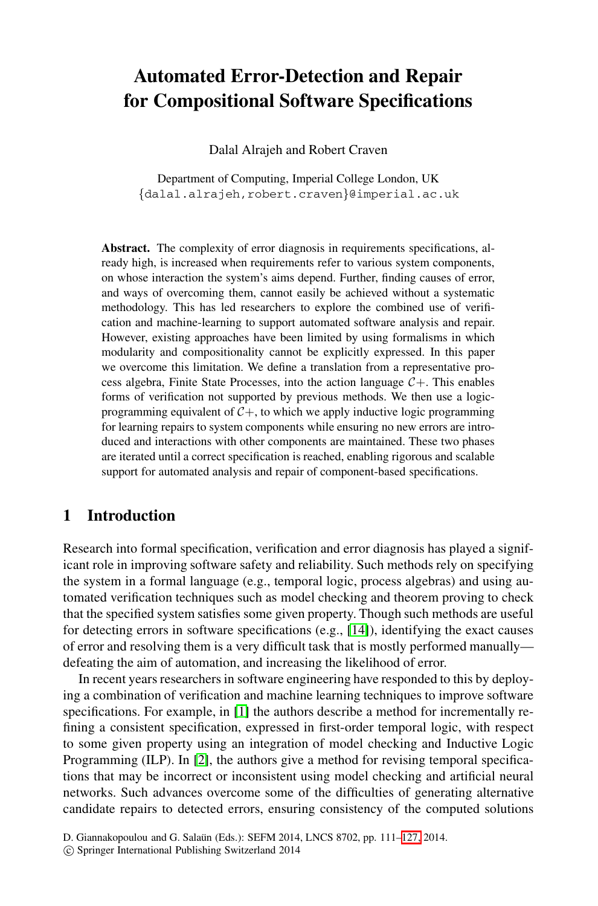# **Automated Error-Detection and Repair for Compositional Software Specifications**

Dalal Alrajeh and Robert Craven

Department of Computing, Imperial College London, UK {dalal.alrajeh,robert.craven}@imperial.ac.uk

**Abstract.** The complexity of error diagnosis in requirements specifications, already high, is increased when requirements refer to various system components, on whose interaction the system's aims depend. Further, finding causes of error, and ways of overcoming them, cannot easily be achieved without a systematic methodology. This has led researchers to explore the combined use of verification and machine-learning to support automated software analysis and repair. However, existing approaches have been limited by using formalisms in which modularity and compositionality cannot be explicitly expressed. In this paper we overcome this limitation. We define a translation from a representative process algebra, Finite State Processes, into the action language  $C+$ . This enables forms of verification not supported by previous methods. We then use a logicprogramming equivalent of  $C+$ , to which we apply inductive logic programming for learning repairs to system components while ensuring no new errors are introduced and interactions with other components are maintained. These two phases are iterated until a correct specification is reached, enabling rigorous and scalable support for automated analysis and repair of component-based specifications.

# **1 Introduction**

Research into formal specification, verification and error diagnosis has played a significant role in improving software safety and reliability. Such methods rely on specifying the system i[n a](#page-14-0) formal language (e.g., temporal logic, process algebras) and using automated verification techniques such as model checking and theorem proving to check that the specified system satisfies some given property. Though such methods are useful for d[ete](#page-14-1)cting errors in software specifications (e.g., [14]), identifying the exact causes of error and resolving them is a very difficult task that is mostly performed manually defeating the aim of automation, and increasing the likelihood of error.

In recent years researchers in software engineering have responded to this by deploying a combination of verification and machine learning techniques to improve software specifications. For example, in [1] the aut[hors](#page-16-0) describe a method for incrementally refining a consistent specification, expressed in first-order temporal logic, with respect to some given property using an integration of model checking and Inductive Logic Programming (ILP). In [2], the authors give a method for revising temporal specifications that may be incorrect or inconsistent using model checking and artificial neural networks. Such advances overcome some of the difficulties of generating alternative candidate repairs to detected errors, ensuring consistency of the computed solutions

D. Giannakopoulou and G. Salaün (Eds.): SEFM 2014, LNCS 8702, pp. 111–127, 2014.

<sup>-</sup>c Springer International Publishing Switzerland 2014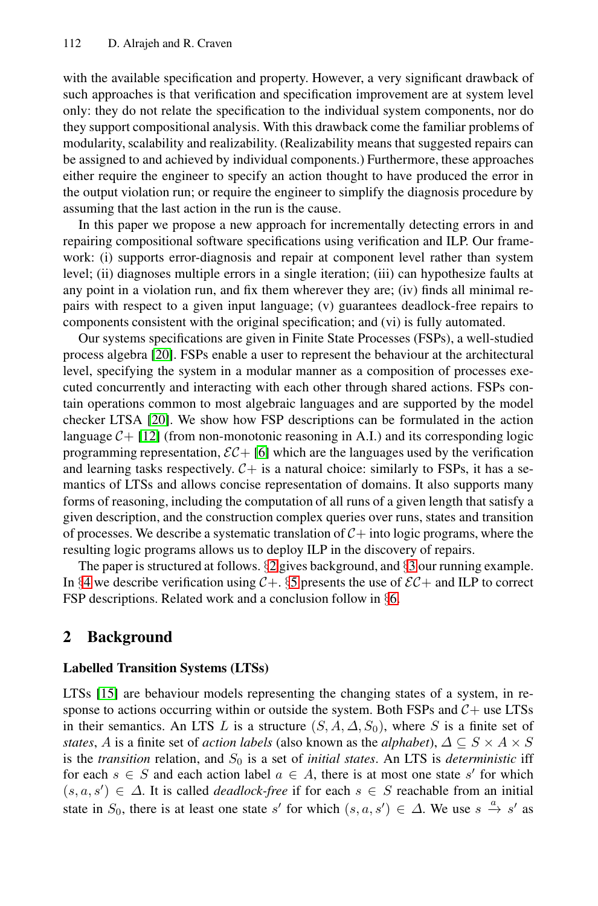with the available specification and property. However, a very significant drawback of such approaches is that verification and specification improvement are at system level only: they do not relate the specification to the individual system components, nor do they support compositional analysis. With this drawback come the familiar problems of modularity, scalability and realizability. (Realizability means that suggested repairs can be assigned to and achieved by individual components.) Furthermore, these approaches either require the engineer to specify an action thought to have produced the error in the output violation run; or require the engineer to simplify the diagnosis procedure by assuming that the last action in the run is the cause.

In this paper we propose a new approach for incrementally detecting errors in and [r](#page-14-2)epairing compositional software specifications using verification and ILP. Our framework: (i) supports error-diagnosis and repair at component level rather than system level; (ii) diagnoses multiple errors in a single iteration; (iii) can hypothesize faults at any point in a violation run, and fix them wherever they are; (iv) finds all minimal repairs with respect to a given input language; (v) guarantees deadlock-free repairs to components co[nsi](#page-14-3)stent with the original specification; and (vi) is fully automated.

<span id="page-1-0"></span>Our systems specifications are given in Finite State Processes (FSPs), a well-studied process algebra [20]. FSPs enable a user to represent the behaviour at the architectural level, specifying the system in a modular manner as a composition of processes executed concurrently and interacting with each other through shared actions. FSPs contain operations common to most algebraic languages and are supported by the model checker LTSA [20]. We show how FSP descriptions can be formulated in the action language  $C+$  [12] [\(f](#page-1-0)rom non-monotonic rea[so](#page-4-0)ning in A.I.) and its corresponding logic programming represe[nta](#page-9-0)tion,  $\mathcal{EC}$  + [6] which are the languages used by the verification and learning tasks respectively.  $C+$  is a [na](#page-13-0)tural choice: similarly to FSPs, it has a semantics of LTSs and allows concise representation of domains. It also supports many forms of reasoning, including the computation of all runs of a given length that satisfy a given description, and the construction complex queries over runs, states and transition of processes. We describe a systematic translation of  $C+$  into logic programs, where the resulting logic programs allows us to deploy ILP in the discovery of repairs.

The paper is structured at follows. §2 gives background, and §3 our running example. In §4 we describe verification using  $C +$ . §5 presents the use of  $\mathcal{EC}+$  and ILP to correct FSP descriptions. Related work and a conclusion follow in §6.

# **2 Background**

# **Labelled Transition Systems (LTSs)**

LTSs [15] are behaviour models representing the changing states of a system, in response to actions occurring within or outside the system. Both FSPs and  $C+$  use LTSs in their semantics. An LTS L is a structure  $(S, A, \Delta, S_0)$ , where S is a finite set of *states*, A is a finite set of *action labels* (also known as the *alphabet*),  $\Delta \subseteq S \times A \times S$ is the *transition* relation, and  $S_0$  is a set of *initial states*. An LTS is *deterministic* iff for each  $s \in S$  and each action label  $a \in A$ , there is at most one state s' for which  $(s, a, s') \in \Delta$ . It is called *deadlock-free* if for each  $s \in S$  reachable from an initial state in  $S_0$ , there is at least one state s' for which  $(s, a, s') \in \Delta$ . We use  $s \stackrel{a}{\rightarrow} s'$  as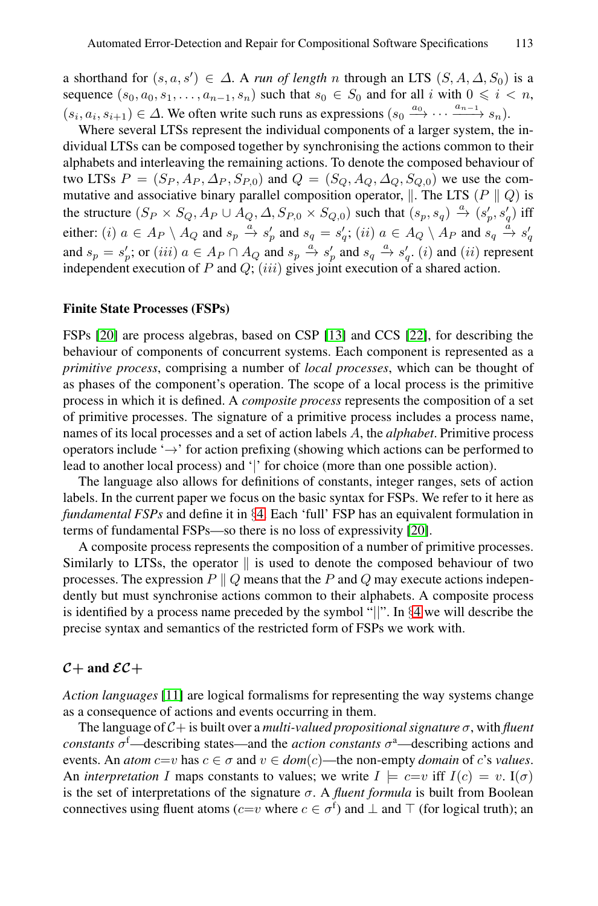a shorthand for  $(s, a, s') \in \Delta$ . A *run of length* n through an LTS  $(S, A, \Delta, S_0)$  is a sequence  $(s_0, a_0, s_1, \ldots, a_{n-1}, s_n)$  such that  $s_0 \in S_0$  and for all i with  $0 \leq i \leq n$ ,  $(s_i, a_i, s_{i+1}) \in \Delta$ . We often write such runs as expressions  $(s_0 \xrightarrow{a_0} \cdots \xrightarrow{a_{n-1}} s_n)$ .

Where several LTSs represent the individual components of a larger system, the individual LTSs can be composed together by synchronising the actions common to their alphabets and interleaving the remaining actions. To denote the composed behaviour of two LTSs  $P = (S_P, A_P, \Delta_P, S_{P,0})$  and  $Q = (S_Q, A_Q, \Delta_Q, S_{Q,0})$  we use the commutative and associative binary parallel composition operator,  $\parallel$ . The LTS (P  $\parallel$  Q) is the structure  $(S_P \times S_Q, A_P \cup A_Q, \Delta, S_{P,0} \times S_{Q,0})$  such that  $(s_p, s_q) \stackrel{a}{\rightarrow} (s'_p, s'_q)$  iff either: (*i*)  $a \in A_P \setminus A_Q$  and  $s_p \stackrel{a}{\to} s'_p$  and  $s_q = s'_q$ ; (*ii*)  $a \in A_Q \setminus A_P$  and  $s_q \stackrel{\hat{a}}{\to} s'_q$ and  $s_p = s'_p$ ; or  $(iii)$   $a \in A_P \cap A_Q$  and  $s_p \stackrel{a}{\rightarrow} s'_p$  and  $s_q \stackrel{a}{\rightarrow} s'_q$ .  $(i)$  and  $(ii)$  represent independent execution of P and  $Q$ ; (iii) gives joint execution of a shared action.

### **Finite State Processes (FSPs)**

FSPs [20] are process algebras, based on CSP [13] and CCS [22], for describing the behaviour of components of concurrent systems. Each component is represented as a *primitive process*, comprising a number of *local processes*, which can be thought of as phases of th[e c](#page-5-0)omponent's operation. The scope of a local process is the primitive process in which it is defined. A *composite [proc](#page-14-2)ess* represents the composition of a set of primitive processes. The signature of a primitive process includes a process name, names of its local processes and a set of action labels A, the *alphabet*. Primitive process operators include '→' for action prefixing (showing which actions can be performed to lead to another local process) and '|' for choice (more than one possible action).

The language also allows for definitions [of](#page-5-0) constants, integer ranges, sets of action labels. In the current paper we focus on the basic syntax for FSPs. We refer to it here as *fundamental FSPs* and define it in §4. Each 'full' FSP has an equivalent formulation in terms of fundamental FSPs—so there is no loss of expressivity [20].

A composite process represents the composition of a number of primitive processes. [Sim](#page-14-6)ilarly to LTSs, the operator  $\parallel$  is used to denote the composed behaviour of two processes. The expression  $P \parallel Q$  means that the P and Q may execute actions independently but must synchronise actions common to their alphabets. A composite process is identified by a process name preceded by the symbol "||". In §4 we will describe the precise syntax and semantics of the restricted form of FSPs we work with.

### $C+$  **and**  $\mathcal{EC}+$

*Action languages* [11] are logical formalisms for representing the way systems change as a consequence of actions and events occurring in them.

The language of C+ is built over a *multi-valued propositional signature* σ, with *fluent constants*  $\sigma^f$ —describing states—and the *action constants*  $\sigma^a$ —describing actions and events. An *atom*  $c=v$  has  $c \in \sigma$  and  $v \in dom(c)$ —the non-empty *domain* of c's *values*. An *interpretation* I maps constants to values; we write  $I \models c=v$  iff  $I(c) = v$ . I( $\sigma$ ) is the set of interpretations of the signature  $\sigma$ . A *fluent formula* is built from Boolean connectives using fluent atoms ( $c=v$  where  $c \in \sigma^f$ ) and  $\perp$  and  $\top$  (for logical truth); an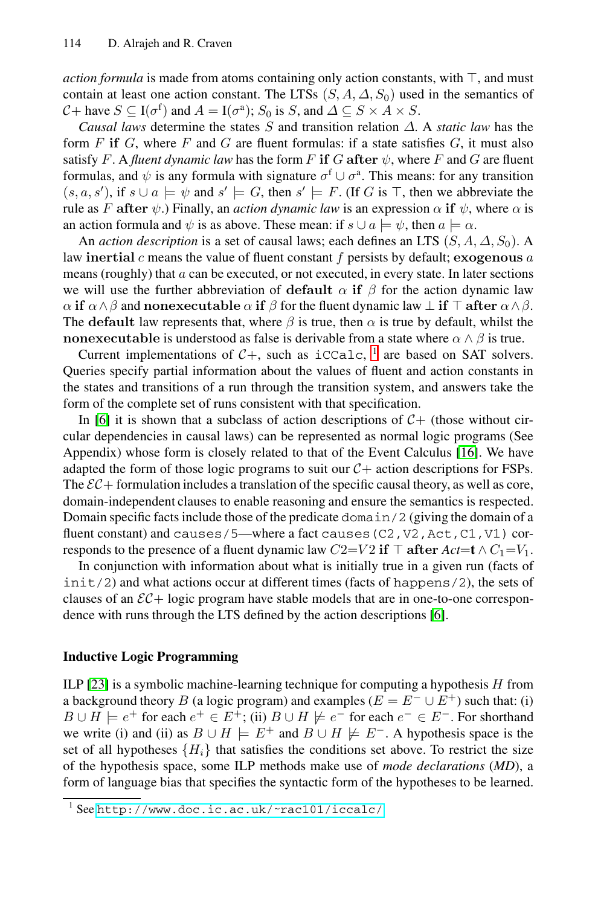*action formula* is made from atoms containing only action constants, with  $\top$ , and must contain at least one action constant. The LTSs  $(S, A, \Delta, S_0)$  used in the semantics of C + have  $S \subseteq I(\sigma^f)$  and  $A = I(\sigma^a)$ ;  $S_0$  is S, and  $\Delta \subseteq S \times A \times S$ .

*Causal laws* determine the states S and transition relation Δ. A *static law* has the form  $F$  **if**  $G$ , where  $F$  and  $G$  are fluent formulas: if a state satisfies  $G$ , it must also satisfy F. A *fluent dynamic law* has the form F if G after  $\psi$ , where F and G are fluent formulas, and  $\psi$  is any formula with signature  $\sigma^{\text{f}} \cup \sigma^{\text{a}}$ . This means: for any transition  $(s, a, s')$ , if  $s \cup a \models \psi$  and  $s' \models G$ , then  $s' \models F$ . (If G is  $\top$ , then we abbreviate the rule as F after  $\psi$ .) Finally, an *action dynamic law* is an expression  $\alpha$  **if**  $\psi$ , where  $\alpha$  is an action formula and  $\psi$  is as above. [Th](#page-3-0)ese mean: if  $s \cup a \models \psi$ , then  $a \models \alpha$ .

An *action description* is a set of causal laws; each defines an LTS  $(S, A, \Delta, S_0)$ . A law **inertial** c means the value of fluent constant f persists by default; exogenous a means (roughly) that  $\alpha$  can be executed, or not executed, in every state. In later sections we will use the further abbreviation of **default**  $\alpha$  **if**  $\beta$  for the action dynamic law  $\alpha$  **if**  $\alpha \wedge \beta$  and **nonexecutable**  $\alpha$  **if**  $\beta$  for the fluent dynamic law  $\perp$  **if**  $\top$  after  $\alpha \wedge \beta$ . The **default** law repres[en](#page-14-7)ts that, where  $\beta$  is true, then  $\alpha$  is true by default, whilst the **nonexecutable** is understood as false is derivable from a state where  $\alpha \wedge \beta$  is true.

Current implementations of  $C+$ , such as iCCalc, <sup>1</sup> are based on SAT solvers. Queries specify partial information about the values of fluent and action constants in the states and transitions of a run through the transition system, and answers take the form of the complete set of runs consistent with that specification.

In [6] it is shown that a subclass of action descriptions of  $C+$  (those without circular dependencies in causal laws) can be represented as normal logic programs (See Appendix) whose form is closely related to that of the Event Calculus [16]. We have adapted the form of those logic programs to suit our  $C+$  action descriptions for FSPs. The  $\mathcal{EC}$  + formulation includes a translation of th[e s](#page-14-3)pecific causal theory, as well as core, domain-independent clauses to enable reasoning and ensure the semantics is respected. Domain specific facts include those of the predicate domain/2 (giving the domain of a fluent constant) and causes/5—where a fact causes (C2, V2, Act, C1, V1) corresponds to the presence of a fluent dynamic law  $C2=V2$  if  $\top$  after  $Act=$  **t**  $\wedge C_1=V_1$ .

<span id="page-3-0"></span>In conjunction with information about what is initially true in a given run (facts of  $init/2$ ) and what actions occur at different times (facts of happens/2), the sets of clauses of an  $\mathcal{EC}+$  logic program have stable models that are in one-to-one correspondence with runs through the LTS defined by the action descriptions [6].

### **Inductive Logic Programming**

[ILP \[23\] is a symbolic machine-learning](http://www.doc.ic.ac.uk/~rac101/iccalc/) technique for computing a hypothesis  $H$  from a background theory B (a logic program) and examples ( $E = E^- \cup E^+$ ) such that: (i)  $B \cup H \models e^+$  for each  $e^+ \in E^+$ ; (ii)  $B \cup H \not\models e^-$  for each  $e^- \in E^-$ . For shorthand we write (i) and (ii) as  $B \cup H \models E^+$  and  $B \cup H \not\models E^-$ . A hypothesis space is the set of all hypotheses  $\{H_i\}$  that satisfies the conditions set above. To restrict the size of the hypothesis space, some ILP methods make use of *mode declarations* (*MD*), a form of language bias that specifies the syntactic form of the hypotheses to be learned.

<sup>1</sup> See http://www.doc.ic.ac.uk/˜rac101/iccalc/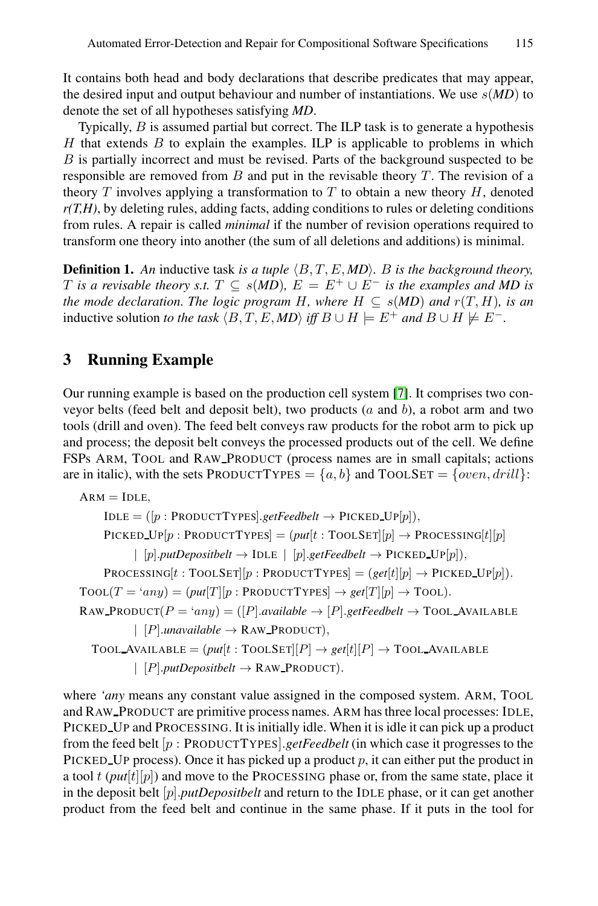It contains both head and body declarations that describe predicates that may appear, the desired input and output behaviour and number of instantiations. We use  $s(MD)$  to denote the set of all hypotheses satisfying *MD*.

<span id="page-4-0"></span>Typically,  $B$  is assumed partial but correct. The ILP task is to generate a hypothesis  $H$  that extends  $B$  to explain the examples. ILP is applicable to problems in which B is partially incorrect and must be revised. Parts of the background suspected to be responsible are removed from  $B$  and put in the revisable theory  $T$ . The revision of a theory  $T$  involves applying a transformation to  $T$  to obtain a new theory  $H$ , denoted  $r(T, H)$ , by deleting rules, adding facts, adding conditions to rules or deleting conditions from rules. A repair is called *minimal* if the number of revision operations required to transform one theory into another (the sum of all deletions and additions) is minimal.

**Definition 1.** An inductive task *is a tuple*  $\langle B, T, E, MD \rangle$ . B *is the background theory, T is a revisable theory s.t.*  $T ⊆ s(MD)$ *,*  $E = E<sup>+</sup> ∪ E<sup>-</sup>$  *is the examples and MD is the mode declaration. The logic program* H, where  $H \subseteq s(MD)$  *and*  $r(T, H)$ *, is an* inductive solution *to the task*  $\langle B, T, E, \text{MD} \rangle$  *iff*  $B \cup H \models E^+$  *and*  $B \cup H \not\models E^-$ *.* 

# **3 Running Example**

Our running example is based on the production cell system [7]. It comprises two conveyor belts (feed belt and deposit belt), two products  $(a$  and  $b)$ , a robot arm and two tools (drill and oven). The feed belt conveys raw products for the robot arm to pick up and process; the deposit belt conveys the processed products out of the cell. We define FSPs ARM, TOOL and RAW PRODUCT (process names are in small capitals; actions are in italic), with the sets PRODUCTTYPES =  $\{a, b\}$  and TOOLSET =  $\{oven, drill\}$ :

ARM = IDLE*,*

 $IDLE = ([p : PRODUCTTypes]$ *.getFeedbelt*  $\rightarrow$  PICKED  $UP[p]$ *)*,  $P$ ICKED UP $[p : P$ RODUCTTYPES $] = (put[t : T00LSET][p] \rightarrow P$ ROCESSING $[t][p]$  $| [p].putDepositbelt \rightarrow IDLE | [p].getFeedbelt \rightarrow PICKED\_UP[p]),$  $PROCESSING[t:TOOLSET][p:PRODUCTTypes] = (get[t][p] \rightarrow PICKEDUp[p])$ </u>.  $\text{TOOL}(T = 'any) = (put|T| [p : \text{PRODUCTTypes}] \rightarrow get|T| [p] \rightarrow \text{TOOL}).$ RAW PRODUCT( $P = 'any$ ) = ([*P*]*.available*  $\rightarrow$  [*P*]*.getFeedbelt*  $\rightarrow$  TOOL AVAILABLE | [*P*]*.unavailable* → RAW PRODUCT)*,* TOOL AVAILABLE =  $(put[t : ToolSET][P] \rightarrow get[t][P] \rightarrow Tool$  AVAILABLE  $| [P].putDepositbelt \rightarrow Raw\_PRODUCT).$ 

where *'any* means any constant value assigned in the composed system. ARM, TOOL and RAW PRODUCT are primitive process names. ARM has three local processes: IDLE, PICKED UP and PROCESSING. It is initially idle. When it is idle it can pick up a product from the feed belt [p : PRODUCTTYPES].*getFeedbelt* (in which case it progresses to the PICKED UP process). Once it has picked up a product  $p$ , it can either put the product in a tool t (*put*[t][p]) and move to the PROCESSING phase or, from the same state, place it in the deposit belt [p].*putDepositbelt* and return to the IDLE phase, or it can get another product from the feed belt and continue in the same phase. If it puts in the tool for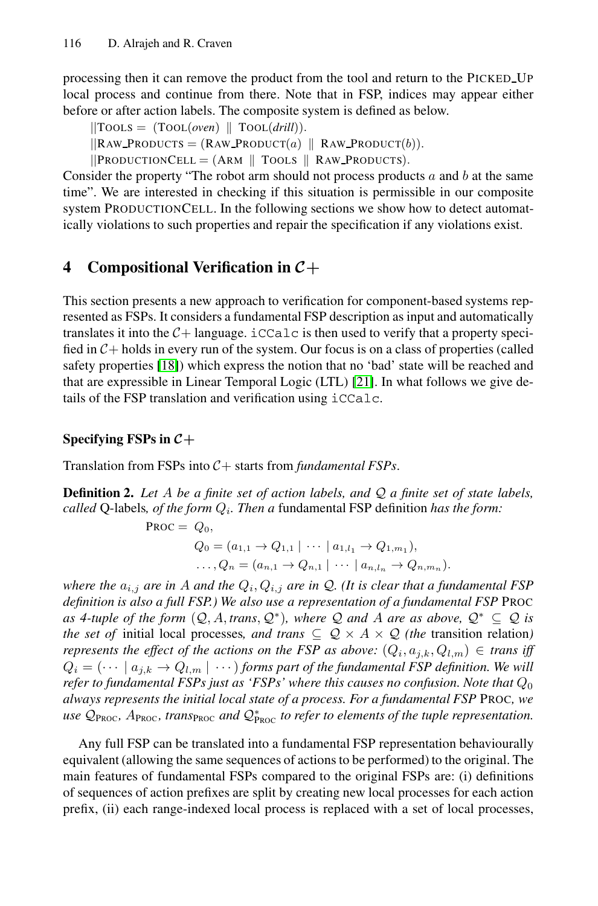<span id="page-5-1"></span>processing then it can remove the product from the tool and return to the PICKED UP local process and continue from there. Note that in FSP, indices may appear either before or after action labels. The composite system is defined as below.

 $||\text{Tools} = (\text{TOOL}(oven) || \text{TOOL}(drill)).$ 

 $||$ RAW PRODUCTS = (RAW PRODUCT $(a)$  | RAW PRODUCT $(b)$ ).

 $||$ PRODUCTIONCELL =  $(ARM \parallel Tools \parallel RAW$ -PRODUCTS $)$ .

<span id="page-5-0"></span>Consider the property "The robot arm should not process products  $a$  and  $b$  at the same time". We are interested in checking if this situation is permissible in our composite system PRODUCTIONCELL. In the following sections we show how to detect automatically violations to such properties and repair the specification if any violations exist.

# **4 Compositional Verifica[tion](#page-14-9) in** *C***+**

This section presents a new approach to verification for component-based systems represented as FSPs. It considers a fundamental FSP description as input and automatically translates it into the  $C+$  language. iCCalc is then used to verify that a property specified in  $C$  + holds in every run of the system. Our focus is on a class of properties (called safety properties [18]) which express the notion that no 'bad' state will be reached and that are expressible in Linear Temporal Logic (LTL) [21]. In what follows we give details of the FSP translation and verification using iCCalc.

# **Specifying FSPs in** *C***+**

Translation from FSPs into C+ starts from *fundamental FSPs*.

**Definition 2.** *Let* A *be a finite set of action labels, and* Q *a finite set of state labels, called* Q-labels*, of the form* Q*i. Then a* fundamental FSP definition *has the form:*

PROC = 
$$
Q_0
$$
,  
\n $Q_0 = (a_{1,1} \rightarrow Q_{1,1} | \cdots | a_{1,l_1} \rightarrow Q_{1,m_1}),$   
\n $\ldots, Q_n = (a_{n,1} \rightarrow Q_{n,1} | \cdots | a_{n,l_n} \rightarrow Q_{n,m_n}).$ 

*where the*  $a_{i,j}$  *are in* A *and the*  $Q_i, Q_{i,j}$  *are in*  $Q$ *. (It is clear that a fundamental FSP definition is also a full FSP.) We also use a representation of a fundamental FSP* PROC *as 4-tuple of the form*  $(Q, A, trans, Q^*)$ *, where*  $Q$  *and*  $A$  *are as above,*  $Q^* \subseteq Q$  *is the set of initial local processes, and trans*  $\subseteq Q \times A \times Q$  *(the transition relation) represents the effect of the actions on the FSP as above:*  $(Q_i, a_{j,k}, Q_{l,m}) \in \text{trans iff}$  $Q_i = (\cdots \mid a_{j,k} \rightarrow Q_{l,m} \mid \cdots)$  *forms part of the fundamental FSP definition. We will refer to fundamental FSPs just as 'FSPs' where this causes no confusion. Note that*  $Q_0$ *always represents the initial local state of a process. For a fundamental FSP* PROC*, we*  $\mu$ se  $\mathcal{Q}_{\text{PROC}}$ *, A*<sub>PROC</sub>*, trans*<sub>PROC</sub> *and*  $\mathcal{Q}_{\text{PROC}}^{*}$  *to refer to elements of the tuple representation.* 

Any full FSP can be translated into a fundamental FSP representation behaviourally equivalent (allowing the same sequences of actions to be performed) to the original. The main features of fundamental FSPs compared to the original FSPs are: (i) definitions of sequences of action prefixes are split by creating new local processes for each action prefix, (ii) each range-indexed local process is replaced with a set of local processes,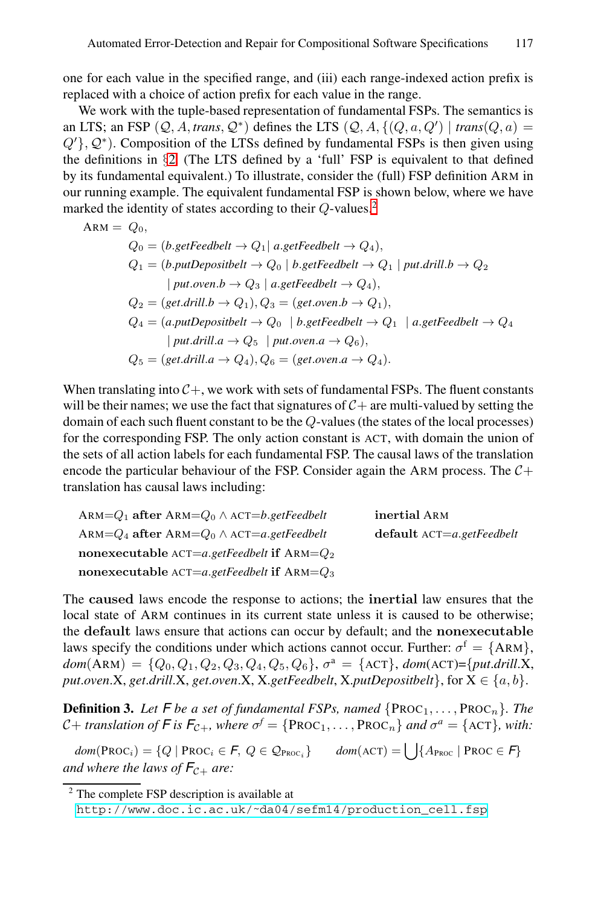one for each value in the specified r[an](#page-6-0)ge, and (iii) each range-indexed action prefix is replaced with a choice of action prefix for each value in the range.

We work with the tuple-based representation of fundamental FSPs. The semantics is an LTS; an FSP  $(Q, A, trans, Q^*)$  defines the LTS  $(Q, A, \{(Q, a, Q') | trans(Q, a) =$  $Q'$ },  $Q^*$ ). Composition of the LTSs defined by fundamental FSPs is then given using the definitions in  $\S2$ . (The LTS defined by a 'full' FSP is equivalent to that defined by its fundamental equivalent.) To illustrate, consider the (full) FSP definition ARM in our running example. The equivalent fundamental FSP is shown below, where we have marked the identity of states according to their Q-values.<sup>2</sup>

 $ARM = Q_0$ ,  $Q_0 = (b.getFeedbelt \rightarrow Q_1 \mid a.getFeedbelt \rightarrow Q_4),$  $Q_1 = (b$ *.putDepositbelt*  $\rightarrow Q_0 \mid b$ *.getFeedbelt*  $\rightarrow Q_1 \mid put.drill.b \rightarrow Q_2$  $|$ *put.oven.b*  $\rightarrow$   $Q_3$   $|$  *a.getFeedbelt*  $\rightarrow$   $Q_4$ *)*,  $Q_2 = (get.drill.b \rightarrow Q_1), Q_3 = (get.oven.b \rightarrow Q_1),$  $Q_4 = (a. \text{putDeposit}$ *be* $d\mathbf{t} \rightarrow Q_0 \mid b. \text{getFeed}$ *belt*  $\rightarrow Q_1 \mid a. \text{getFeed}$ *belt*  $\rightarrow Q_4$  $|$ *put.drill.a*  $\rightarrow$   $Q_5$   $|$ *put.oven.a*  $\rightarrow$   $Q_6$ *)*,  $Q_5 = (get.drill.a \rightarrow Q_4), Q_6 = (get.oven.a \rightarrow Q_4).$ 

<span id="page-6-1"></span>When translating into  $C+$ , we work with sets of fundamental FSPs. The fluent constants will be their names; we use the fact that signatures of  $C+$  are multi-valued by setting the domain of each such fluent constant to be the Q-values (the states of the local processes) for the corresponding FSP. The only action constant is ACT, with domain the union of the sets of all action labels for each fundamental FSP. The causal laws of the translation encode the particular behaviour of the FSP. Consider again the ARM process. The  $C+$ translation has causal laws including:

| ARM= $Q_1$ after ARM= $Q_0 \wedge$ ACT=b.getFeedbelt | inertial ARM                  |
|------------------------------------------------------|-------------------------------|
| ARM= $Q_4$ after ARM= $Q_0 \wedge$ ACT=a.getFeedbelt | $default$ $ACT=a.getFeedbelt$ |
| nonexecutable $ACT=a.getFeedbelt$ if $ARM=Q_2$       |                               |
| nonexecutable $ACT=a.getFeedbelt$ if $ARM=Q_3$       |                               |

<span id="page-6-0"></span>The **caused** laws encode the response to actions; the **inertial** law ensures that the local state of ARM continues in its current state unless it is caused to be otherwise; the **default** laws ensure that actions can occur by default; and the **nonexecutable** laws specify the conditions under which actions cannot occur. Further:  $\sigma^f = \{ARM\}$ ,  $dom(ARM) = \{Q_0, Q_1, Q_2, Q_3, Q_4, Q_5, Q_6\}, \sigma^a = \{\text{ACT}\}, \text{dom}(\text{ACT}) = \{\text{put.} \text{drill.} \mathbf{X}, \sigma^a = \{\text{ACT}\}$ *put.oven.X, get.drill.X, get.oven.X, X.[getFeedbelt](http://www.doc.ic.ac.uk/~da04/sefm14/production_cell.fsp), X.putDepositbelt* $\}$ , for  $X \in \{a, b\}$ .

**Definition 3.** Let F be a set of fundamental FSPs, named  $\{PROC_1, \ldots, PROC_n\}$ . The  $C+$  *translation of* F *is*  $F_{C+}$ *, where*  $\sigma^{f} = \{ \text{PROC}_1, \ldots, \text{PROC}_n \}$  *and*  $\sigma^{a} = \{ \text{ACT} \}$ *, with:* 

 $dom(\text{PROC}_i) = \{Q \mid \text{PROC}_i \in F, Q \in \mathcal{Q}_{\text{PROC}_i}\}$   $dom(\text{ACT}) = \bigcup \{A_{\text{PROC}} \mid \text{PROC} \in F\}$ *and where the laws of*  $F_{C+}$  *are:* 

<sup>2</sup> The complete FSP description is available at

http://www.doc.ic.ac.uk/˜da04/sefm14/production\_cell.fsp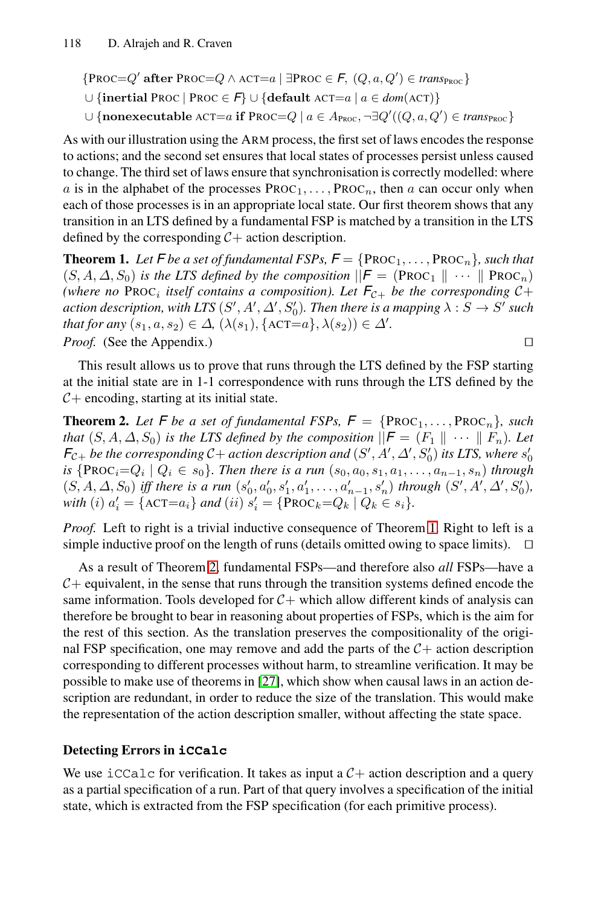- ${$ PROC= $Q'$  after PROC= $Q \wedge$  ACT= $a \mid \exists$ PROC  $\in$  **F**,  $(Q, a, Q') \in$  *trans*<sub>PROC</sub>}
- ∪ {**inertial** PROC | PROC ∈ <sup>F</sup>}∪{**default** ACT=*a* | *a* ∈ *dom*(ACT)}
- $∪$  {nonexecutable  $\text{ACT}=a$  if  $\text{Proc}=Q \mid a \in A_{\text{Proc}}, \neg \exists Q'((Q, a, Q') \in \text{trans}_{\text{Proc}}\}$

<span id="page-7-0"></span>As with our illustration using the ARM process, the first set of laws encodes the response to actions; and the second set ensures that local states of processes persist unless caused to change. The third set of laws ensure that synchronisation is correctly modelled: where a is in the alphabet of the processes  $PROC_1, \ldots, PROC_n$ , then a can occur only when each of those processes is in an appropriate local state. Our first theorem shows that any transition in an LTS defined by a fundamental FSP is matched by a transition in the LTS defined by the corresponding  $C+$  action description.

**Theorem 1.** Let F be a set of fundamental FSPs,  $F = \{ \text{PROC}_1, \ldots, \text{PROC}_n \}$ , such that  $(S, A, \Delta, S_0)$  *is the LTS defined by the composition*  $||\mathbf{F} = (\text{Proc}_1 \parallel \cdots \parallel \text{Proc}_n)$ *(where no* PROC<sub>*i</sub> itself contains a composition). Let*  $F_{C+}$  *be the corresponding*  $C+$ </sub> action description, with LTS  $(S', A', \Delta', S'_0)$ . Then there is a mapping  $\lambda: S \to S'$  such *that for any*  $(s_1, a, s_2) \in \Delta$ ,  $(\lambda(s_1), {\text{ACT=}}a, \lambda(s_2)) \in \Delta'.$ *Proof.* (See the Appendix.) □

This result allows us to prove that runs through the LTS defined by the FSP starting at the initial state are in 1-1 correspondence with runs through the LTS defined by the  $C+$  encoding, starting at its initial state.

**Theorem 2.** Let F be a set of fundamental FSPs,  $F = \{ \text{PROC}_1, \ldots, \text{PROC}_n \}$ , such *that*  $(S, A, \Delta, S_0)$  $(S, A, \Delta, S_0)$  $(S, A, \Delta, S_0)$  *is the LTS defined by the composition*  $||\mathbf{F} = (F_1 || \cdots || F_n)$ *. Let*  $\mathcal{F}_{\mathcal{C}+}$  be the corresponding  $\mathcal{C}+$  action description and  $(S',A',\Delta',S_0')$  its LTS, where  $s_0'$ *is* {PROC<sub>*i*</sub>= $Q_i$  |  $Q_i$  ∈  $s_0$ }*. Then there is a run*  $(s_0, a_0, s_1, a_1, \ldots, a_{n-1}, s_n)$  *through*  $(S, A, \Delta, S_0)$  *iff there is a run*  $(s'_0, a'_0, s'_1, a'_1, \ldots, a'_{n-1}, s'_n)$  *through*  $(S', A', \Delta', S'_0)$ *,*  $with (i) \ a'_i = \{ACT = a_i\} \ and (ii) \ s'_i = \{Proc_k = Q_k \mid Q_k \in s_i\}.$ 

*Proof.* Left to right is a trivial inductive consequence of Theorem 1. Right to left is a simple inductive proof on the length of runs (details omitted owing to space limits).  $\Box$ 

As a result of [Th](#page-15-0)eorem 2, fundamental FSPs—and therefore also *all* FSPs—have a  $C+$  equivalent, in the sense that runs through the transition systems defined encode the same information. Tools developed for  $C+$  which allow different kinds of analysis can therefore be brought to bear in reasoning about properties of FSPs, which is the aim for the rest of this section. As the translation preserves the compositionality of the original FSP specification, one may remove and add the parts of the  $C+$  action description corresponding to different processes without harm, to streamline verification. It may be possible to make use of theorems in [27], which show when causal laws in an action description are redundant, in order to reduce the size of the translation. This would make the representation of the action description smaller, without affecting the state space.

### **Detecting Errors in iCCalc**

We use iCCalc for verification. It takes as input a  $C+$  action description and a query as a partial specification of a run. Part of that query involves a specification of the initial state, which is extracted from the FSP specification (for each primitive process).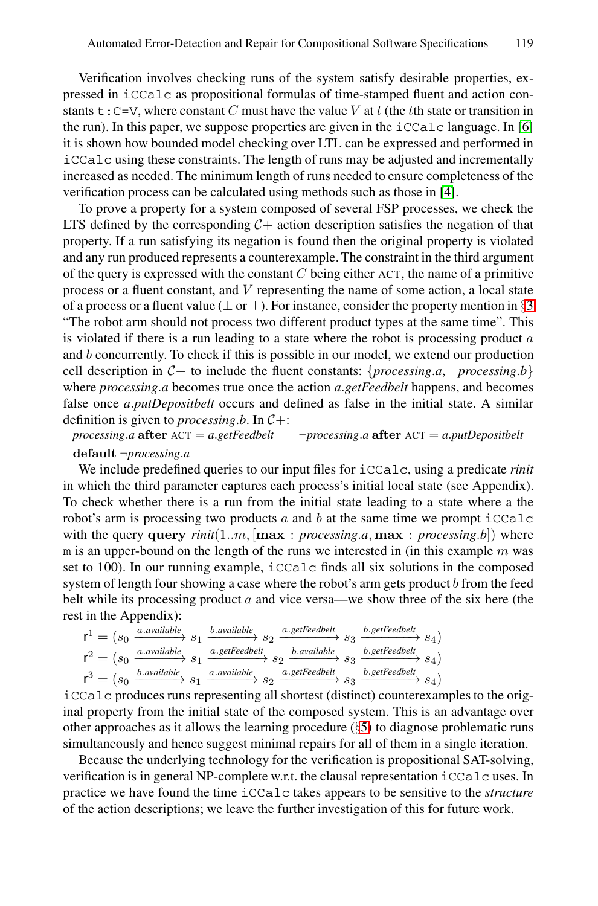Verification involves checking runs of the sys[tem](#page-14-10) satisfy desirable properties, expressed in iCCalc as propositional formulas of time-stamped fluent and action constants  $t: C=V$ , where constant C must have the value V at t (the tth state or transition in the run). In this paper, we suppose properties are given in the  $i_{\text{CCalc}}$  language. In [6] it is shown how bounded model checking over LTL can be expressed and performed in iCCalc using these constraints. The length of runs may be adjusted and incrementally increased as needed. The minimum length of runs needed to ensur[e c](#page-4-0)ompleteness of the verification process can be calculated using methods such as those in [4].

To prove a property for a system composed of several FSP processes, we check the LTS defined by the corresponding  $C<sub>+</sub>$  action description satisfies the negation of that property. If a run satisfying its negation is found then the original property is violated and any run produced represents a counterexample. The constraint in the third argument of the query is expressed with the constant  $C$  being either ACT, the name of a primitive process or a fluent constant, and V representing the name of some action, a local state of a process or a fluent value ( $\perp$  or  $\perp$ ). For instance, consider the property mention in §3 "The robot arm should not process two different product types at the same time". This is violated if there is a run leading to a state where the robot is processing product  $a$ and b concurrently. To check if this is possible in our model, we extend our production cell description in  $C+$  to include the fluent constants: {*processing.a, processing.b*} where *processing*.*a* becomes true once the action *a*.*getFeedbelt* happens, and becomes false once *a*.*putDepositbelt* occurs and defined as false in the initial state. A similar definition is given to *processing.b.* In  $C +$ :

*processing.a* **after** ACT = *a.getFeedbelt* ¬*processing.a* **after** ACT = *a.putDepositbelt* **default** ¬*processing.a*

We include predefined queries to our input files for iCCalc, using a predicate *rinit* in which the third parameter captures each process's initial local state (see Appendix). To check whether there is a run from the initial state leading to a state where a the robot's arm is processing two products a and b at the same time we prompt  $i_{\text{CCa1c}}$ with the query  $\text{query } \text{rinit}(1..m, [\text{max} : processing.a, \text{max} : processing.b])$  where m is an upper-bound on the length of the runs we interested in (in this example  $m$  was set to 100). In our running example, iCCalc finds all six solutions in the composed system of length four showing a case where the robot's arm gets product  $b$  from the feed belt while its processing product  $\alpha$  [an](#page-9-0)d vice versa—we show three of the six here (the rest in the Appendix):

|  | $\mathbf{r}^1 = (s_0 \xrightarrow{a. available} s_1 \xrightarrow{b. available} s_2 \xrightarrow{a. getFeedbelt} s_3 \xrightarrow{b. getFeedbelt} s_4)$ |  |  |
|--|--------------------------------------------------------------------------------------------------------------------------------------------------------|--|--|
|  | $\mathsf{r}^2 = (s_0 \xrightarrow{a. available} s_1 \xrightarrow{a.getfeedback} s_2 \xrightarrow{b. available} s_3 \xrightarrow{b.getfeedback} s_4)$   |  |  |
|  | $\mathbf{r}^3 = (s_0 \xrightarrow{b. available} s_1 \xrightarrow{a. available} s_2 \xrightarrow{a. getfeedback} s_3 \xrightarrow{b. getfeedback} s_4)$ |  |  |

iCCalc produces runs representing all shortest (distinct) counterexamples to the original property from the initial state of the composed system. This is an advantage over other approaches as it allows the learning procedure (§5) to diagnose problematic runs simultaneously and hence suggest minimal repairs for all of them in a single iteration.

Because the underlying technology for the verification is propositional SAT-solving, verification is in general NP-complete w.r.t. the clausal representation iCCalc uses. In practice we have found the time iCCalc takes appears to be sensitive to the *structure* of the action descriptions; we leave the further investigation of this for future work.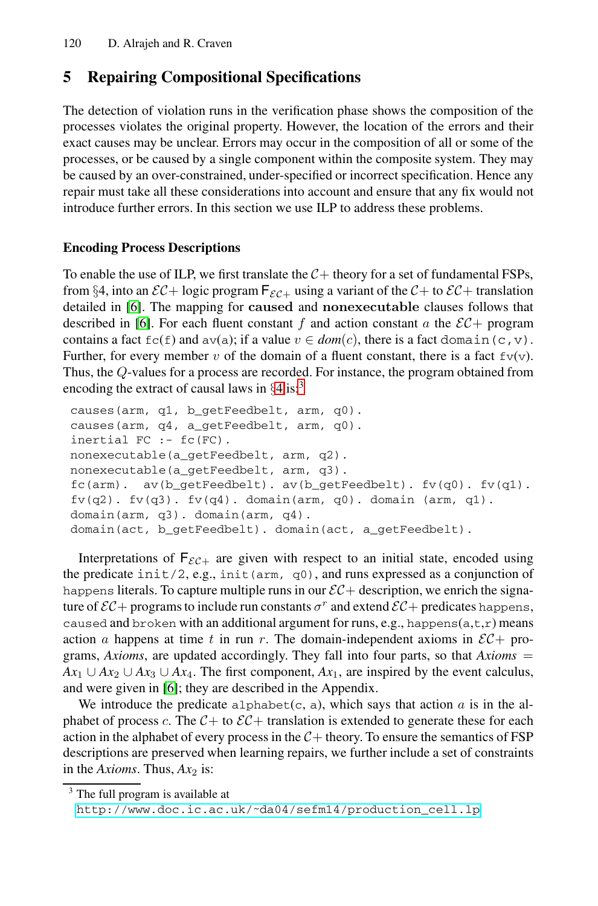# <span id="page-9-0"></span>**5 Repairing Compositional Specifications**

The detection of violation runs in the verification phase shows the composition of the processes violates the original property. However, the location of the errors and their exact causes may be unclear. Errors may occur in the composition of all or some of the processes, or be caused by a single component within the composite system. They may be caused by an over-constrained, under-specified or incorrect specification. Hence any repair must take all these considerations into account and ensure that any fix would not introduce further errors. In this section we use ILP to address these problems.

# **Encoding Process Descriptions**

To enable the use o[f](#page-5-1) [I](#page-5-1)L[P,](#page-9-1) we first translate the  $C+$  theory for a set of fundamental FSPs, from §4, into an  $\mathcal{EC}+$  logic program  $\mathsf{F}_{\mathcal{EC}+}$  using a variant of the  $\mathcal{C}+$  to  $\mathcal{EC}+$  translation detailed in [6]. The mapping for **caused** and **nonexecutable** clauses follows that described in [6]. For each fluent constant f and action constant a the  $\mathcal{EC}+$  program contains a fact  $\text{fc}(f)$  and  $\text{av}(a)$ ; if a value  $v \in dom(c)$ , there is a fact domain(c, v). Further, for every member v of the domain of a fluent constant, there is a fact  $f(v(y))$ . Thus, the Q-values for a process are recorded. For instance, the program obtained from encoding the extract of causal laws in  $\S 4$  is:<sup>3</sup>

```
causes(arm, q1, b_getFeedbelt, arm, q0).
causes(arm, q4, a_getFeedbelt, arm, q0).
inertial FC :- fc(FC).
nonexecutable(a_getFeedbelt, arm, q2).
nonexecutable(a_getFeedbelt, arm, q3).
fc(\text{arm}). av(b_getFeedbelt). av(b_getFeedbelt). fv(q0). fv(q1).
fv(q2). fv(q3). fv(q4). domain(arm, q0). domain (arm, q1).
domain(arm, q3). domain(arm, q4).
domain(act, b_getFeedbelt). domain(act, a_getFeedbelt).
```
<span id="page-9-1"></span>Interpretations of  $F_{\mathcal{EC}+}$  are given with respect to an initial state, encoded using [th](#page-14-3)e predicate  $init/2$ , e.g.,  $init(arm, q0)$ , and runs expressed as a conjunction of happens literals. To capture multiple runs in our  $\mathcal{EC}+$  description, we enrich the signature of  $\mathcal{EC}$ + programs to include run constants  $\sigma^r$  and extend  $\mathcal{EC}$ + predicates happens, caused and broken with an additional argument for runs, e.g., happens $(a,t,r)$  means action a happens at time t in run r. The domain-independent axioms in  $\mathcal{EC}+$  programs, *Axioms*, are updated accordingly. They fall into four parts, so that *Axioms* =  $Ax_1 \cup Ax_2 \cup Ax_3 \cup Ax_4$ . The first component,  $Ax_1$ , are inspired by the event calculus, [and were given in \[6\]; they are described in the Appendix](http://www.doc.ic.ac.uk/~da04/sefm14/production_cell.lp).

We introduce the predicate alphabet(c, a), which says that action  $a$  is in the alphabet of process c. The  $C+$  to  $\mathcal{EC}+$  translation is extended to generate these for each action in the alphabet of every process in the  $C+$  theory. To ensure the semantics of FSP descriptions are preserved when learning repairs, we further include a set of constraints in the *Axioms*. Thus,  $Ax_2$  is:

<sup>&</sup>lt;sup>3</sup> The full program is available at

http://www.doc.ic.ac.uk/˜da04/sefm14/production\_cell.lp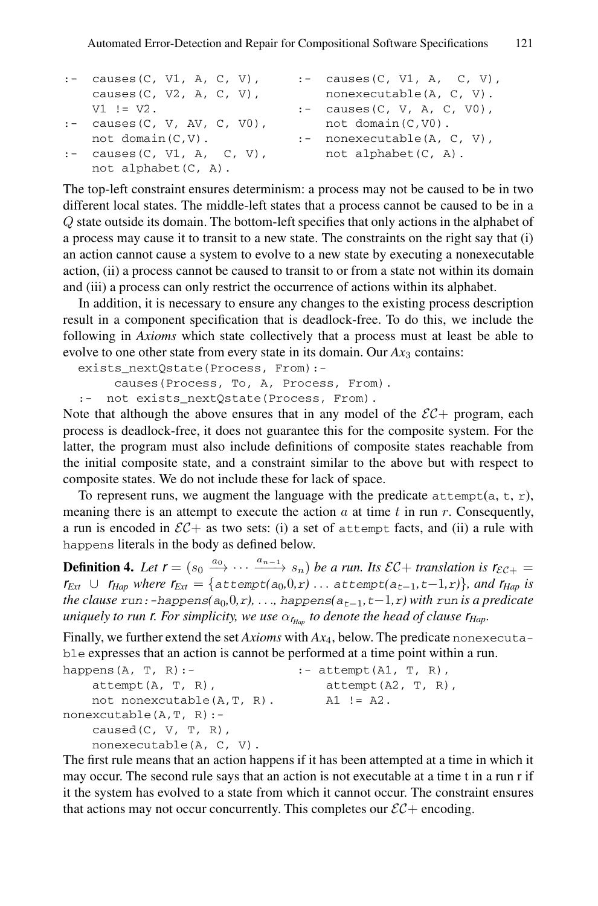| $:$ causes $(C, VI, A, C, V)$ ,  | $:$ causes $(C, V1, A, C, V)$ ,   |
|----------------------------------|-----------------------------------|
| causes $(C, V2, A, C, V)$ ,      | nonexecutable (A, C, V).          |
| $V1 = V2$ .                      | $:$ causes $(C, V, A, C, V0)$ ,   |
| $:$ causes $(C, V, AV, C, V0)$ , | not domain $(C, V0)$ .            |
| not domain $(C, V)$ .            | $:$ - nonexecutable $(A, C, V)$ , |
| $:$ causes $(C, VI, A, C, V)$ ,  | not alphabet(C, A).               |
| not alphabet $(C, A)$ .          |                                   |

The top-left constraint ensures determinism: a process may not be caused to be in two different local states. The middle-left states that a process cannot be caused to be in a Q state outside its domain. The bottom-left specifies that only actions in the alphabet of a process may cause it to transit to a new state. The constraints on the right say that (i) an action cannot cause a system to evolve to a new state by executing a nonexecutable action, (ii) a process cannot be caused to transit to or from a state not within its domain and (iii) a process can only restrict the occurrence of actions within its alphabet.

In addition, it is necessary to ensure any changes to the existing process description result in a component specification that is deadlock-free. To do this, we include the following in *Axioms* which state collectively that a process must at least be able to evolve to one other state from every state in its domain. Our  $Ax_3$  contains:

```
exists_nextQstate(Process, From):-
     causes(Process, To, A, Process, From).
   not exists_nextQstate(Process, From).
```
Note that although the above ensures that in any model of the  $\mathcal{EC}+$  program, each process is deadlock-free, it does not guarantee this for the composite system. For the latter, the program must also include definitions of composite states reachable from the initial composite state, and a constraint similar to the above but with respect to composite states. We do not include these for lack of space.

To represent runs, we augment the language with the predicate  $attempt(a, t, r)$ , meaning there is an attempt to execute the action  $a$  at time  $t$  in run  $r$ . Consequently, a run is encoded in  $\mathcal{EC}$  + as two sets: (i) a set of attempt facts, and (ii) a rule with happens literals in the body as defined below.

**Definition 4.** Let  $r = (s_0 \xrightarrow{a_0} \cdots \xrightarrow{a_{n-1}} s_n)$  be a run. Its  $\mathcal{EC}$ + *translation is*  $r_{\mathcal{EC}+}$ *r*<sub>*Ext</sub>* ∪ *r*<sub>*Hap</sub> where*  $r_{Ext} = \{$  attempt $(a_0, 0, r)$  ... attempt $(a_{t-1}, t-1, r)$ }*, and r<sub>Hap</sub> is*</sub></sub> *the clause* run: -happens $(a_0, 0, r)$ , ..., happens $(a_{t-1}, t-1, r)$  with run is a predicate *uniquely to run r. For simplicity, we use*  $\alpha_{f_{\text{Ham}}}$  *to denote the head of clause*  $r_{\text{Hap}}$ .

Finally, we further extend the set *Axioms* with *Ax*4, below. The predicate nonexecutable expresses that an action is cannot be performed at a time point within a run.

| happens $(A, T, R)$ :-    | $: -$ attempt $(A1, T, R)$ , |
|---------------------------|------------------------------|
| $attempt(A, T, R)$ ,      | $attempt(A2, T, R)$ ,        |
| not nonexcutable(A,T, R). | $A1 := A2$ .                 |
| nonexcutable(A,T, R):     |                              |
| caused $(C, V, T, R)$ ,   |                              |
| nonexecutable (A, C, V).  |                              |

The first rule means that an action happens if it has been attempted at a time in which it may occur. The second rule says that an action is not executable at a time t in a run r if it the system has evolved to a state from which it cannot occur. The constraint ensures that actions may not occur concurrently. This completes our  $\mathcal{EC}$  + encoding.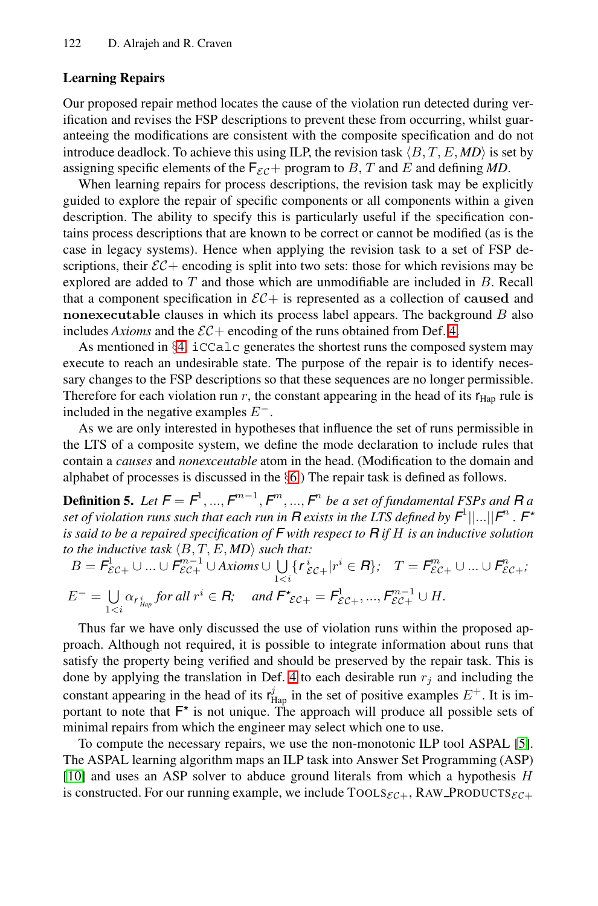### **Learning Repairs**

Our proposed repair method locates the cause of the violation run detected during verification and revises the FSP descriptions to prevent these from occurring, whilst guaranteeing the modifications are consistent with the composite specification and do not introduce deadlock. To achieve this using ILP, the revision task  $\langle B, T, E, MD \rangle$  is set by assigning specific elements of the  $\mathsf{F}_{\mathcal{EC}}$  + program to B, T and E and defining MD.

When learning repairs for process descriptions, the revision task may be explicitly guided to explore the repair of specific componen[ts](#page-10-0) or all components within a given d[es](#page-5-1)cription. The ability to specify this is particularly useful if the specification contains process descriptions that are known to be correct or cannot be modified (as is the case in legacy systems). Hence when applying the revision task to a set of FSP descriptions, their  $\mathcal{EC}$  + encoding is split into two sets: those for which revisions may be explored are added to  $T$  and those which are unmodifiable are included in  $B$ . Recall that a component specification in  $\mathcal{EC}$  + is represented as a collection of **caused** and **nonexecutable** clauses in which its process label appears. The background B also includes *Axioms* and the  $\mathcal{EC}$  + encoding of the runs obtained from Def. 4.

As mentioned in §[4,](#page-13-0) iCCalc generates the shortest runs the composed system may execute to reach an undesirable state. The purpose of the repair is to identify necessary changes to the FSP descriptions so that these sequences are no longer permissible. Therefore for each violation run r, the constant appearing in the head of its  $r_{\text{Hap}}$  rule is included in the negative examples  $E^-$ .

As we are only interested in hypotheses that influence the set of runs permissible in the LTS of a composite system, we define the mode declaration to include rules that contain a *causes* and *nonexceutable* atom in the head. (Modification to the domain and alphabet of processes is discussed in the §6.) The repair task is defined as follows.

**Definition 5.** Let  $F = F^1, ..., F^{m-1}, F^n, ..., F^n$  be a set of fundamental FSPs and R a set of violation runs such that each run in **R** exists in the LTS defined by  $\mathsf{F}^1||...||\mathsf{F}^n$  .  $\mathsf{F}^*$ *is said to be a repaired specification of* <sup>F</sup> *with respect to* <sup>R</sup> *if* H *is an inductive solution to the inductive task*  $\langle B, T, E, \textit{MD} \rangle$  $\langle B, T, E, \textit{MD} \rangle$  $\langle B, T, E, \textit{MD} \rangle$  *such that:* 

$$
B = F_{\mathcal{EC}+}^1 \cup ... \cup F_{\mathcal{EC}+}^{n-1} \cup \text{Axioms} \cup \bigcup_{1 < i} \{r_{\mathcal{EC}+}^i | r^i \in R\}; \quad T = F_{\mathcal{EC}+}^n \cup ... \cup F_{\mathcal{EC}+}^n;
$$
\n
$$
E^- = \bigcup_{1 < i} \alpha_{r_{\mathit{Hap}}} \text{ for all } r^i \in R; \quad \text{and } F^*_{\mathcal{EC}+} = F_{\mathcal{EC}+}^1, ..., F_{\mathcal{EC}+}^{n-1} \cup H.
$$

Thus far we have only discussed the use of violation runs [with](#page-14-11)in the proposed approach. Although not required, it is possible to integrate information about runs that satisfy the property being verified and should be preserved by the repair task. This is done by applying the translation in Def. 4 to each desirable run  $r_i$  and including the constant appearing in the head of its  $r_{\text{Hap}}^j$  in the set of positive examples  $E^+$ . It is important to note that  $F^*$  is not unique. The approach will produce all possible sets of minimal repairs from which the engineer may select which one to use.

To compute the necessary repairs, we use the non-monotonic ILP tool ASPAL [5]. The ASPAL learning algorithm maps an ILP task into Answer Set Programming (ASP) [10] and uses an ASP solver to abduce ground literals from which a hypothesis  $H$ is constructed. For our running example, we include  $\text{Tools}_{\mathcal{EC}+}$ , RAW PRODUCTS $_{\mathcal{EC}+}$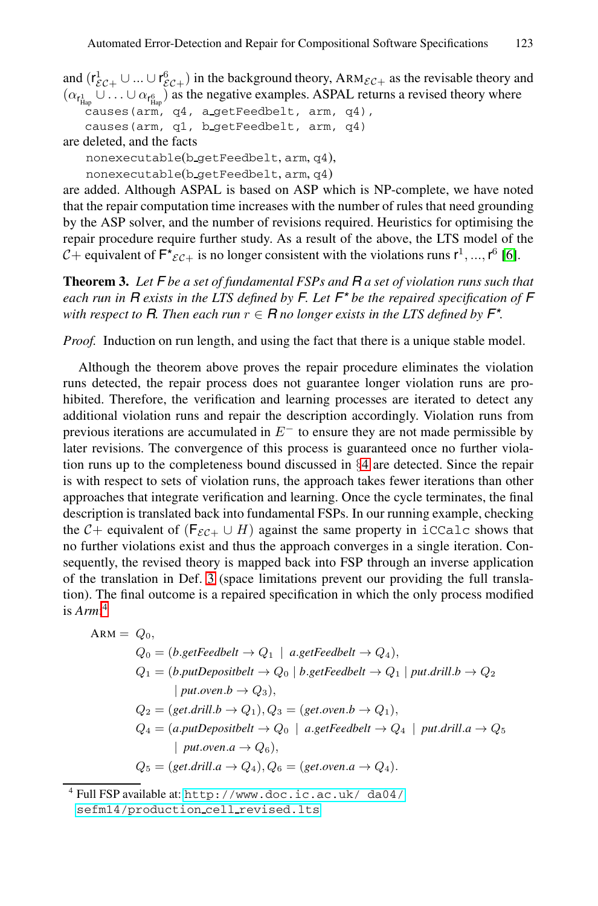and  $(r_{\mathcal{EC}+}^1 \cup ... \cup r_{\mathcal{EC}+}^6)$  in the background theory, ARM $_{\mathcal{EC}+}$  as the revisable theory and  $(\alpha_{r^1_{\text{Hap}}} \cup ... \cup \alpha_{r^6_{\text{Hap}}})$  as the negative examples. ASPAL returns a revised theory where causes (arm, q4, a getFeedbelt, arm, q4),

```
causes(arm, q1, b getFeedbelt, arm, q4)
are deleted, and the facts
```
nonexecutable(b getFeedbelt, arm, q4),

nonexecutable(b getFeedbelt, arm, q4) are added. Although ASPAL is based on ASP which is NP-complete, we have noted that the repair computation time increases with the number of rules that need grounding by the ASP solver, and the number of revisions required. Heuristics for optimising the repair procedure require further study. As a result of the above, the LTS model of the  $C+$  equivalent of  $F^*_{\mathcal{EC}+}$  is no longer consistent with the violations runs  $r^1, ..., r^6$  [6].

**Theorem 3.** *Let* F *be a set of fundamental FSPs and* R *a set of violation runs such that each run in* R *exists in the LTS defined by* F*. Let* F\* *be the repaired specification of* F *with respect to*  $R$ *. Then each run*  $r \in R$  *no longer exists in the LTS defined by*  $F^*$ *.* 

*Proof.* Induction on run length, an[d u](#page-5-1)sing the fact that there is a unique stable model.

Although the theorem above proves the repair procedure eliminates the violation runs detected, the repair process does not guarantee longer violation runs are prohibited. Therefore, the verification and learning processes are iterated to detect any additional violation runs and repair the description accordingly. Violation runs from previous iterations are accumulated in  $E<sup>-</sup>$  to ensure they are not made permissible by later r[ev](#page-6-1)isions. The convergence of this process is guaranteed once no further violation runs up to the completeness bound discussed in §4 are detected. Since the repair is with respect to sets of violation runs, the approach takes fewer iterations than other approaches that integrate verification and learning. Once the cycle terminates, the final description is translated back into fundamental FSPs. In our running example, checking the  $C$ + equivalent of  $(F_{\mathcal{EC}+} \cup H)$  against the same property in iCCalc shows that no further violations exist and thus the approach converges in a single iteration. Consequently, the revised theory is mapped back into FSP through an inverse application of the translation in Def. 3 (space limitations prevent our providing the full translation). The final outcome is a repaired specification in which the only process modified is *Arm*: 4

 $ARM = Q_0$ ,  $Q_0 = (b.getFeedbelt \rightarrow Q_1 \mid a.getFeedbelt \rightarrow Q_4),$  $Q_1 = (b$ *.[putDepositbelt](http://www.doc.ic.ac.uk/~da04/sefm14/production_cell_revised.lts)*  $\rightarrow Q_0 \mid b$ *.getFeedbelt*  $\rightarrow Q_1 \mid put.drill.b \rightarrow Q_2$  $|$ *[put](http://www.doc.ic.ac.uk/~da04/sefm14/production_cell_revised.lts).oven.b*  $\rightarrow$   $Q_3$  $),$  $Q_2 = (get.drill.b \rightarrow Q_1), Q_3 = (get.oven.b \rightarrow Q_1),$  $Q_4 = (a. putDepositbelt \rightarrow Q_0 \mid a.getFeedbelt \rightarrow Q_4 \mid put.drill.a \rightarrow Q_5$ | *put.oven.a*  $\rightarrow$   $Q_6$ *)*,  $Q_5 = (get.drill.a \rightarrow Q_4), Q_6 = (get.oven.a \rightarrow Q_4).$ 

<sup>4</sup> Full FSP available at: http://www.doc.ic.ac.uk/ da04/ sefm14/production cell revised.lts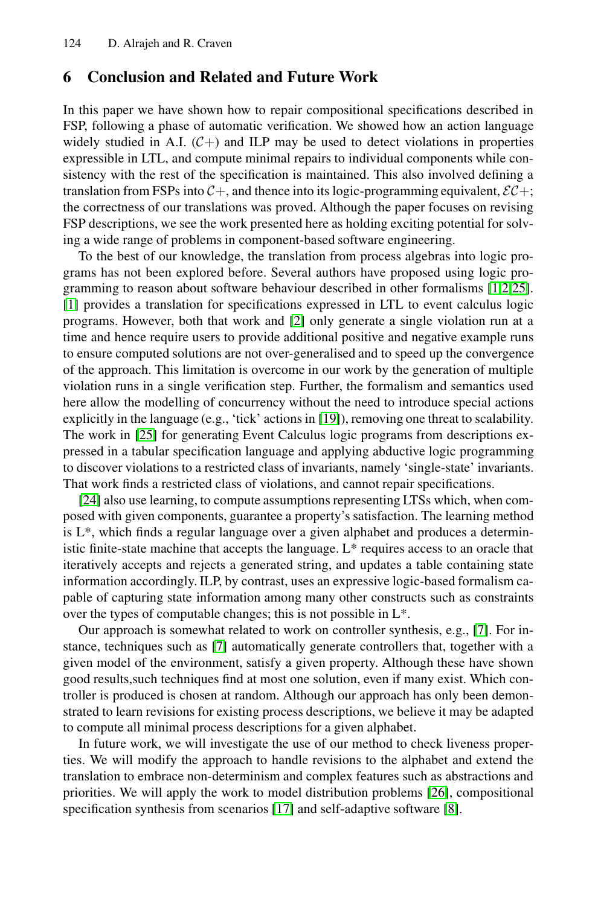# <span id="page-13-0"></span>**6 Conclusion and Related and Future Work**

In this paper we have shown how to repair compositional specifications described in FSP, following a phase of automatic verification. We showed how an action language widely studied in A.I.  $(C+)$  and ILP may be used to detect violations in properties expressible in LTL, and compute minimal repairs to indivi[du](#page-14-0)[al](#page-14-1) [com](#page-14-12)ponents while consistency with the rest of the specification is maintained. This also involved defining a translation from FSPs [int](#page-14-1)o  $C_+$ , and thence into its logic-programming equivalent,  $\mathcal{EC}$ +; the correctness of our translations was proved. Although the paper focuses on revising FSP descriptions, we see the work presented here as holding exciting potential for solving a wide range of problems in component-based software engineering.

To the best of our knowledge, the translation from process algebras into logic programs has not been explored before. Several authors have proposed using logic programming to reason about [soft](#page-14-13)ware behaviour described in other formalisms [1,2,25]. [1] provides a translation for specifications expressed in LTL to event calculus logic programs. However, both that work and [2] only generate a single violation run at a time and hence require users to provide additional positive and negative example runs to ensure computed solutions are not over-generalised and to speed up the convergence of the approach. This limitation is overcome in our work by the generation of multiple violation runs in a single verification step. Further, the formalism and semantics used here allow the modelling of concurrency without the need to introduce special actions explicitly in the language (e.g., 'tick' actionsin [19]), removing one threat to scalability. The work in [25] for generating Event Calculus logic programs from descriptions expressed in a tabular specification language and applying abductive logic programming to discover violations to a restricted class of invariants, namely 'single-state' invariants. That work finds a restricted class of violations, and cannot repair specifications.

[24] also use learning, to compute assumptions repres[ent](#page-14-8)ing LTSs which, when composed w[ith](#page-14-8) given components, guarantee a property's satisfaction. The learning method is  $L^*$ , which finds a regular language over a given alphabet and produces a deterministic finite-state machine that accepts the language. L\* requires access to an oracle that iteratively accepts and rejects a generated string, and updates a table containing state information accordingly. ILP, by contrast, uses an expressive logic-based formalism capable of capturing state information among many other constructs such as constraints over the types of computable changes; this is not possible in L\*.

Our approach is somewhat related to work on controller synthesis, e.g., [7]. For instance, techniques such as [7] automatically generate controllers that, together with a given model of the environment, satisfy a give[n pr](#page-14-14)operty. Although these have shown good results,such t[echn](#page-14-15)iques find at most one solut[io](#page-14-16)n, even if many exist. Which controller is produced is chosen at random. Although our approach has only been demonstrated to learn revisions for existing process descriptions, we believe it may be adapted to compute all minimal process descriptions for a given alphabet.

In future work, we will investigate the use of our method to check liveness properties. We will modify the approach to handle revisions to the alphabet and extend the translation to embrace non-determinism and complex features such as abstractions and priorities. We will apply the work to model distribution problems [26], compositional specification synthesis from scenarios [17] and self-adaptive software [8].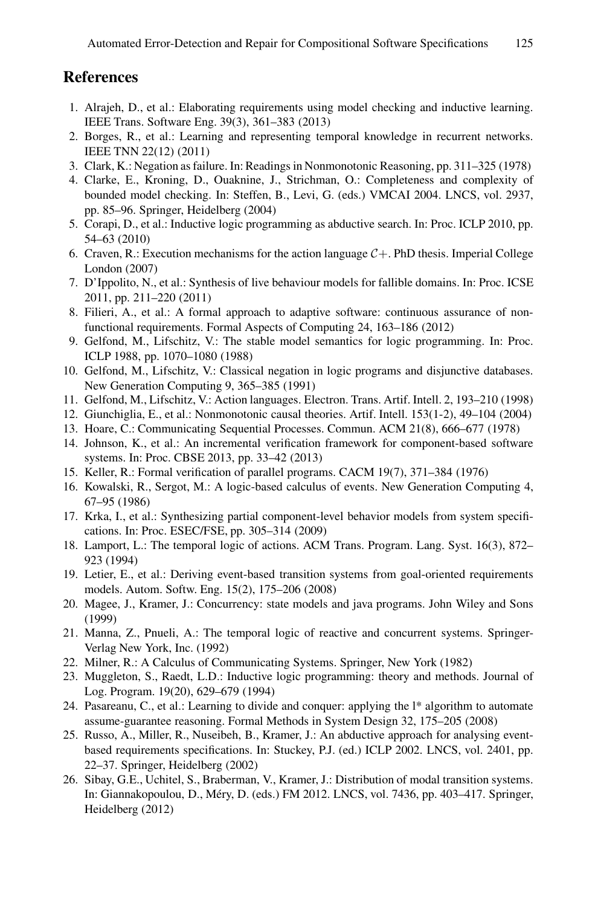# <span id="page-14-10"></span><span id="page-14-1"></span><span id="page-14-0"></span>**References**

- <span id="page-14-11"></span>1. Alrajeh, D., et al.: Elaborating requirements using model checking and inductive learning. IEEE Trans. Software Eng. 39(3), 361–383 (2013)
- <span id="page-14-3"></span>2. Borges, R., et al.: Learning and representing temporal knowledge in recurrent networks. IEEE TNN 22(12) (2011)
- <span id="page-14-8"></span>3. Clark, K.: Negation as failure. In: Readings in Nonmonotonic Reasoning, pp. 311–325 (1978)
- <span id="page-14-16"></span>4. Clarke, E., Kroning, D., Ouaknine, J., Strichman, O.: Completeness and complexity of bounded model checking. In: Steffen, B., Levi, G. (eds.) VMCAI 2004. LNCS, vol. 2937, pp. 85–96. Springer, Heidelberg (2004)
- 5. Corapi, D., et al.: Inductive logic programming as abductive search. In: Proc. ICLP 2010, pp. 54–63 (2010)
- 6. Craven, R.: Execution mechanisms for the action language  $C+$ . PhD thesis. Imperial College London (2007)
- <span id="page-14-6"></span>7. D'Ippolito, N., et al.: Synthesis of live behaviour models for fallible domains. In: Proc. ICSE 2011, pp. 211–220 (2011)
- <span id="page-14-4"></span>8. Filieri, A., et al.: A formal approach to adaptive software: continuous assurance of nonfunctional requirements. Formal Aspects of Computing 24, 163–186 (2012)
- <span id="page-14-7"></span>9. Gelfond, M., Lifschitz, V.: The stable model semantics for logic programming. In: Proc. ICLP 1988, pp. 1070–1080 (1988)
- 10. Gelfond, M., Lifschitz, V.: Classical negation in logic programs and disjunctive databases. New Generation Computing 9, 365–385 (1991)
- <span id="page-14-15"></span>11. Gelfond, M., Lifschitz, V.: Action languages. Electron. Trans. Artif. Intell. 2, 193–210 (1998)
- 12. Giunchiglia, E., et al.: Nonmonotonic causal theories. Artif. Intell. 153(1-2), 49–104 (2004)
- 13. Hoare, C.: Communicating Sequential Processes. Commun. ACM 21(8), 666–677 (1978)
- <span id="page-14-13"></span>14. Johnson, K., et al.: An incremental verification framework for component-based software systems. In: Proc. CBSE 2013, pp. 33–42 (2013)
- <span id="page-14-2"></span>15. Keller, R.: Formal verification of parallel programs. CACM 19(7), 371–384 (1976)
- 16. Kowalski, R., Sergot, M.: A logic-based calculus of events. New Generation Computing 4, 67–95 (1986)
- <span id="page-14-9"></span>17. Krka, I., et al.: Synthesizing partial component-level behavior models from system specifications. In: Proc. ESEC/FSE, pp. 305–314 (2009)
- <span id="page-14-5"></span>18. Lamport, L.: The temporal logic of actions. ACM Trans. Program. Lang. Syst. 16(3), 872– 923 (1994)
- 19. Letier, E., et al.: Deriving event-based transition systems from goal-oriented requirements models. Autom. Softw. Eng. 15(2), 175–206 (2008)
- <span id="page-14-12"></span>20. Magee, J., Kramer, J.: Concurrency: state models and java programs. John Wiley and Sons (1999)
- 21. Manna, Z., Pnueli, A.: The temporal logic of reactive and concurrent systems. Springer-Verlag New York, Inc. (1992)
- <span id="page-14-14"></span>22. Milner, R.: A Calculus of Communicating Systems. Springer, New York (1982)
- 23. Muggleton, S., Raedt, L.D.: Inductive logic programming: theory and methods. Journal of Log. Program. 19(20), 629–679 (1994)
- 24. Pasareanu, C., et al.: Learning to divide and conquer: applying the l\* algorithm to automate assume-guarantee reasoning. Formal Methods in System Design 32, 175–205 (2008)
- 25. Russo, A., Miller, R., Nuseibeh, B., Kramer, J.: An abductive approach for analysing eventbased requirements specifications. In: Stuckey, P.J. (ed.) ICLP 2002. LNCS, vol. 2401, pp. 22–37. Springer, Heidelberg (2002)
- 26. Sibay, G.E., Uchitel, S., Braberman, V., Kramer, J.: Distribution of modal transition systems. In: Giannakopoulou, D., M´ery, D. (eds.) FM 2012. LNCS, vol. 7436, pp. 403–417. Springer, Heidelberg (2012)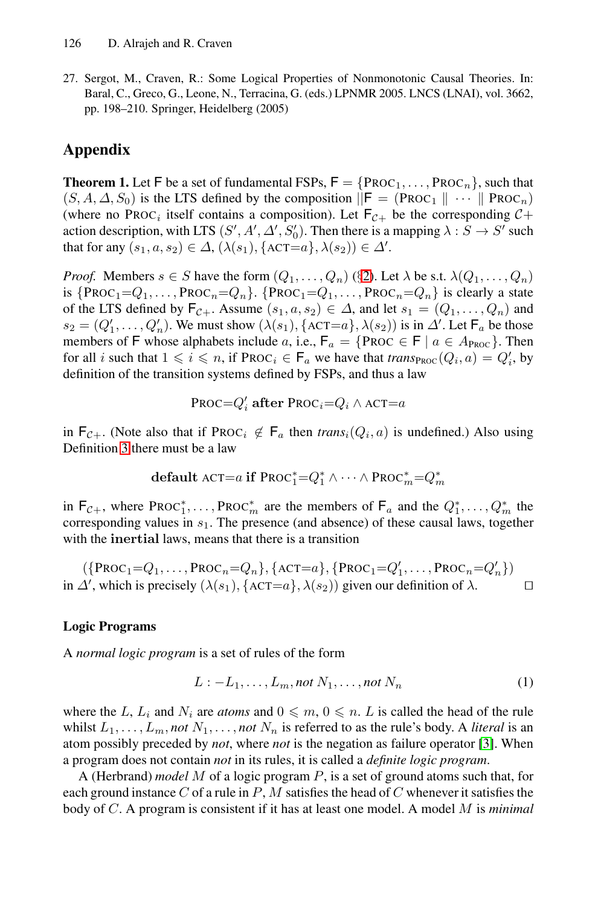<span id="page-15-0"></span>27. Sergot, M., Craven, R.: Some Logical Properties of Nonmonotonic Causal Theories. In: Baral, C., Greco, G., Leone, N., Terracina, G. (eds.) LPNMR 2005. LNCS (LNAI), vol. 3662, pp. 198–210. Springer, Heidelberg (2005)

# **Appendix**

**Theorem 1.** Let F be a set of fundamental FSPs,  $F = \{PROC_1, \ldots, PROC_n\}$ , such that  $(S, A, \Delta, S_0)$  is the LTS defined by the composition  $||\mathbf{F}|| = (\text{Proc}_1 || \cdots || \text{Proc}_n)$ (where no PROC<sub>i</sub> itself contains a composition). Let  $\mathsf{F}_{\mathcal{C}+}$  be the corresponding  $\mathcal{C}+$ action description, with LTS  $(S', A', \Delta', S'_0)$ . Then there is a mapping  $\lambda : S \to S'$  such that for any  $(s_1, a, s_2) \in \Delta$ ,  $(\lambda(s_1), \{\text{ACT}=a\}, \lambda(s_2)) \in \Delta'$ .

*Proof.* Members  $s \in S$  have the form  $(Q_1, \ldots, Q_n)$  (§2). Let  $\lambda$  be s.t.  $\lambda(Q_1, \ldots, Q_n)$ is  $\{Proc_1 = Q_1, \ldots, Proc_n = Q_n\}$ .  $\{Proc_1 = Q_1, \ldots, Proc_n = Q_n\}$  is clearly a state of the LTS defined by  $\mathsf{F}_{\mathcal{C}+}$ . Assume  $(s_1, a, s_2) \in \Delta$ , and let  $s_1 = (Q_1, \ldots, Q_n)$  and  $s_2 = (Q'_1, \ldots, Q'_n)$ . We must show  $(\lambda(s_1), \{\text{ACT}=a\}, \lambda(s_2))$  is in  $\Delta'$ . Let  $\mathsf{F}_a$  be those members of F whose alphabets include a, i.e.,  $F_a = \{ \text{PROC} \in F \mid a \in A_{\text{PROC}} \}.$  Then for all i such that  $1 \leq i \leq n$ , if PROC<sub>i</sub>  $\in \mathsf{F}_a$  we have that  $trans_{\text{PROC}}(Q_i, a) = Q'_i$ , by definition of the transition systems defined by FSPs, and thus a law

$$
\text{Proc=}Q_i'\text{ after } \text{Proc}_i=\text{Q}_i \wedge \text{act}=a
$$

in  $\mathsf{F}_{\mathcal{C}+}$ . (Note also that if PROC<sub>*i*</sub>  $\notin \mathsf{F}_a$  then *trans*<sub>*i*</sub>( $Q_i$ , *a*) is undefined.) Also using Definition 3 there must be a law

$$
\textbf{default ACT}=a\textbf{ if } \text{Proc}^*_1\text{=}Q^*_1 \wedge \cdots \wedge \text{Proc}^*_m\text{=}Q^*_m
$$

in  $\mathsf{F}_{\mathcal{C}+}$ , where  $\text{PROC}_1^*$ ,...,  $\text{PROC}_m^*$  are the members of  $\mathsf{F}_a$  and the  $Q_1^*, \ldots, Q_m^*$  the corresponding values in  $s<sub>1</sub>$ . The presence (and absence) of these causal laws, together with the **inertial** laws, means that there is a transition

 $(\{\text{PROC}_1 = Q_1, \ldots, \text{PROC}_n = Q_n\}, \{\text{ACT}=a\}, \{\text{PROC}_1 = Q'_1, \ldots, \text{PROC}_n = Q'_n\})$ in  $\Delta'$ , which is precisely  $(\lambda(s_1), \{\text{ACT}=a\}, \lambda(s_2))$  given our definition of  $\lambda$ .

### **Logic Programs**

A *normal logic program* is a set of rules of the form

$$
L: -L_1, \dots, L_m, not N_1, \dots, not N_n \tag{1}
$$

where the L,  $L_i$  and  $N_i$  are *atoms* and  $0 \leq m$ ,  $0 \leq n$ . L is called the head of the rule whilst  $L_1, \ldots, L_m$ , *not*  $N_1, \ldots$ , *not*  $N_n$  is referred to as the rule's body. A *literal* is an atom possibly preceded by *not*, where *not* is the negation as failure operator [3]. When a program does not contain *not* in its rules, it is called a *definite logic program*.

A (Herbrand) *model* M of a logic program P, is a set of ground atoms such that, for each ground instance  $C$  of a rule in  $P$ ,  $M$  satisfies the head of  $C$  whenever it satisfies the body of C. A program is consistent if it has at least one model. A model M is *minimal*